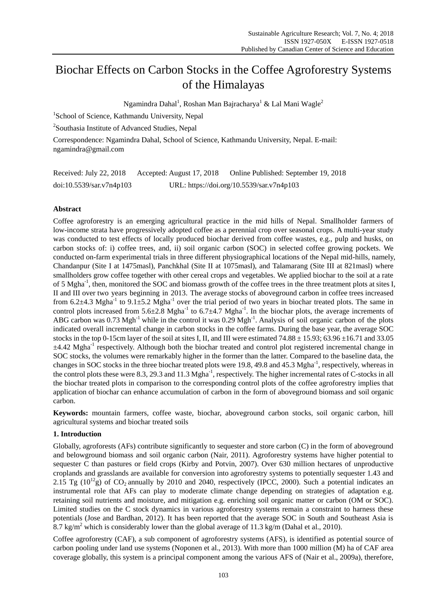# Biochar Effects on Carbon Stocks in the Coffee Agroforestry Systems of the Himalayas

Ngamindra Dahal<sup>1</sup>, Roshan Man Bajracharya<sup>1</sup> & Lal Mani Wagle<sup>2</sup>

<sup>1</sup>School of Science, Kathmandu University, Nepal

<sup>2</sup>Southasia Institute of Advanced Studies, Nepal

Correspondence: Ngamindra Dahal, School of Science, Kathmandu University, Nepal. E-mail: [ngamindra@gmail.com](mailto:ngamindra@gmail.com)

| Received: July 22, 2018  | Accepted: August 17, 2018 | Online Published: September 19, 2018      |
|--------------------------|---------------------------|-------------------------------------------|
| doi:10.5539/sar.v7n4p103 |                           | URL: https://doi.org/10.5539/sar.v7n4p103 |

# **Abstract**

Coffee agroforestry is an emerging agricultural practice in the mid hills of Nepal. Smallholder farmers of low-income strata have progressively adopted coffee as a perennial crop over seasonal crops. A multi-year study was conducted to test effects of locally produced biochar derived from coffee wastes, e.g., pulp and husks, on carbon stocks of: i) coffee trees, and, ii) soil organic carbon (SOC) in selected coffee growing pockets. We conducted on-farm experimental trials in three different physiographical locations of the Nepal mid-hills, namely, Chandanpur (Site I at 1475masl), Panchkhal (Site II at 1075masl), and Talamarang (Site III at 821masl) where smallholders grow coffee together with other cereal crops and vegetables. We applied biochar to the soil at a rate of 5 Mgha<sup>-1</sup>, then, monitored the SOC and biomass growth of the coffee trees in the three treatment plots at sites I, II and III over two years beginning in 2013. The average stocks of aboveground carbon in coffee trees increased from 6.2 $\pm$ 4.3 Mgha<sup>-1</sup> to 9.1 $\pm$ 5.2 Mgha<sup>-1</sup> over the trial period of two years in biochar treated plots. The same in control plots increased from  $5.6 \pm 2.8$  Mgha<sup>-1</sup> to  $6.7 \pm 4.7$  Mgha<sup>-1</sup>. In the biochar plots, the average increments of ABG carbon was  $0.73 \text{ Mgh}^{-1}$  while in the control it was  $0.29 \text{ Mgh}^{-1}$ . Analysis of soil organic carbon of the plots indicated overall incremental change in carbon stocks in the coffee farms. During the base year, the average SOC stocks in the top 0-15cm layer of the soil at sites I, II, and III were estimated 74.88  $\pm$ 15.93; 63.96  $\pm$ 16.71 and 33.05  $±4.42$  Mgha<sup>-1</sup> respectively. Although both the biochar treated and control plot registered incremental change in SOC stocks, the volumes were remarkably higher in the former than the latter. Compared to the baseline data, the changes in SOC stocks in the three biochar treated plots were 19.8, 49.8 and 45.3 Mgha<sup>-1</sup>, respectively, whereas in the control plots these were 8.3, 29.3 and 11.3 Mgha<sup>-1</sup>, respectively. The higher incremental rates of C-stocks in all the biochar treated plots in comparison to the corresponding control plots of the coffee agroforestry implies that application of biochar can enhance accumulation of carbon in the form of aboveground biomass and soil organic carbon.

**Keywords:** mountain farmers, coffee waste, biochar, aboveground carbon stocks, soil organic carbon, hill agricultural systems and biochar treated soils

## **1. Introduction**

Globally, agroforests (AFs) contribute significantly to sequester and store carbon (C) in the form of aboveground and belowground biomass and soil organic carbon (Nair, 2011). Agroforestry systems have higher potential to sequester C than pastures or field crops (Kirby and Potvin, 2007). Over 630 million hectares of unproductive croplands and grasslands are available for conversion into agroforestry systems to potentially sequester 1.43 and 2.15 Tg ( $10^{12}$ g) of CO<sub>2</sub> annually by 2010 and 2040, respectively (IPCC, 2000). Such a potential indicates an instrumental role that AFs can play to moderate climate change depending on strategies of adaptation e.g. retaining soil nutrients and moisture, and mitigation e.g. enriching soil organic matter or carbon (OM or SOC). Limited studies on the C stock dynamics in various agroforestry systems remain a constraint to harness these potentials (Jose and Bardhan, 2012). It has been reported that the average SOC in South and Southeast Asia is 8.7 kg/m<sup>2</sup> which is considerably lower than the global average of 11.3 kg/m (Dahal et al., 2010).

Coffee agroforestry (CAF), a sub component of agroforestry systems (AFS), is identified as potential source of carbon pooling under land use systems (Noponen et al., 2013). With more than 1000 million (M) ha of CAF area coverage globally, this system is a principal component among the various AFS of (Nair et al., 2009a), therefore,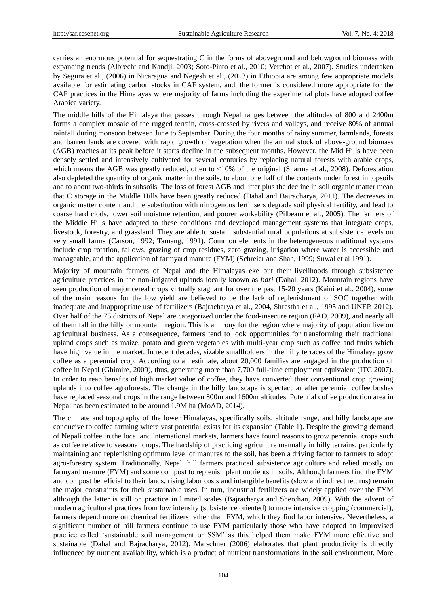carries an enormous potential for sequestrating C in the forms of aboveground and belowground biomass with expanding trends (Albrecht and Kandji, 2003; Soto-Pinto et al., 2010; Verchot et al., 2007). Studies undertaken by Segura et al., (2006) in Nicaragua and Negesh et al., (2013) in Ethiopia are among few appropriate models available for estimating carbon stocks in CAF system, and, the former is considered more appropriate for the CAF practices in the Himalayas where majority of farms including the experimental plots have adopted coffee Arabica variety.

The middle hills of the Himalaya that passes through Nepal ranges between the altitudes of 800 and 2400m forms a complex mosaic of the rugged terrain, cross-crossed by rivers and valleys, and receive 80% of annual rainfall during monsoon between June to September. During the four months of rainy summer, farmlands, forests and barren lands are covered with rapid growth of vegetation when the annual stock of above-ground biomass (AGB) reaches at its peak before it starts decline in the subsequent months. However, the Mid Hills have been densely settled and intensively cultivated for several centuries by replacing natural forests with arable crops, which means the AGB was greatly reduced, often to <10% of the original (Sharma et al., 2008). Deforestation also depleted the quantity of organic matter in the soils, to about one half of the contents under forest in topsoils and to about two-thirds in subsoils. The loss of forest AGB and litter plus the decline in soil organic matter mean that C storage in the Middle Hills have been greatly reduced (Dahal and Bajracharya, 2011). The decreases in organic matter content and the substitution with nitrogenous fertilisers degrade soil physical fertility, and lead to coarse hard clods, lower soil moisture retention, and poorer workability (Pilbeam et al., 2005). The farmers of the Middle Hills have adapted to these conditions and developed management systems that integrate crops, livestock, forestry, and grassland. They are able to sustain substantial rural populations at subsistence levels on very small farms (Carson, 1992; Tamang, 1991). Common elements in the heterogeneous traditional systems include crop rotation, fallows, grazing of crop residues, zero grazing, irrigation where water is accessible and manageable, and the application of farmyard manure (FYM) (Schreier and Shah, 1999; Suwal et al 1991).

Majority of mountain farmers of Nepal and the Himalayas eke out their livelihoods through subsistence agriculture practices in the non-irrigated uplands locally known as *bari* (Dahal, 2012). Mountain regions have seen production of major cereal crops virtually stagnant for over the past 15-20 years (Kaini et al., 2004), some of the main reasons for the low yield are believed to be the lack of replenishment of SOC together with inadequate and inappropriate use of fertilizers (Bajracharya et al., 2004, Shrestha et al., 1995 and UNEP, 2012). Over half of the 75 districts of Nepal are categorized under the food-insecure region (FAO, 2009), and nearly all of them fall in the hilly or mountain region. This is an irony for the region where majority of population live on agricultural business. As a consequence, farmers tend to look opportunities for transforming their traditional upland crops such as maize, potato and green vegetables with multi-year crop such as coffee and fruits which have high value in the market. In recent decades, sizable smallholders in the hilly terraces of the Himalaya grow coffee as a perennial crop. According to an estimate, about 20,000 families are engaged in the production of coffee in Nepal (Ghimire, 2009), thus, generating more than 7,700 full-time employment equivalent (ITC 2007). In order to reap benefits of high market value of coffee, they have converted their conventional crop growing uplands into coffee agroforests. The change in the hilly landscape is spectacular after perennial coffee bushes have replaced seasonal crops in the range between 800m and 1600m altitudes. Potential coffee production area in Nepal has been estimated to be around 1.9M ha (MoAD, 2014).

The climate and topography of the lower Himalayas, specifically soils, altitude range, and hilly landscape are conducive to coffee farming where vast potential exists for its expansion (Table 1). Despite the growing demand of Nepali coffee in the local and international markets, farmers have found reasons to grow perennial crops such as coffee relative to seasonal crops. The hardship of practicing agriculture manually in hilly terrains, particularly maintaining and replenishing optimum level of manures to the soil, has been a driving factor to farmers to adopt agro-forestry system. Traditionally, Nepali hill farmers practiced subsistence agriculture and relied mostly on farmyard manure (FYM) and some compost to replenish plant nutrients in soils. Although farmers find the FYM and compost beneficial to their lands, rising labor costs and intangible benefits (slow and indirect returns) remain the major constraints for their sustainable uses. In turn, industrial fertilizers are widely applied over the FYM although the latter is still on practice in limited scales (Bajracharya and Sherchan, 2009). With the advent of modern agricultural practices from low intensity (subsistence oriented) to more intensive cropping (commercial), farmers depend more on chemical fertilizers rather than FYM, which they find labor intensive. Nevertheless, a significant number of hill farmers continue to use FYM particularly those who have adopted an improvised practice called "sustainable soil management or SSM" as this helped them make FYM more effective and sustainable (Dahal and Bajracharya, 2012). Marschner (2006) elaborates that plant productivity is directly influenced by nutrient availability, which is a product of nutrient transformations in the soil environment. More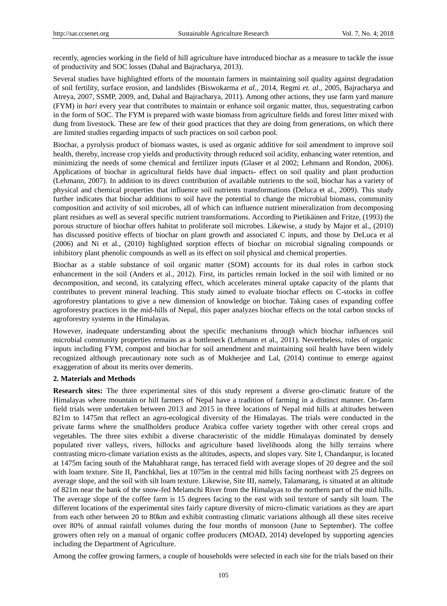recently, agencies working in the field of hill agriculture have introduced biochar as a measure to tackle the issue of productivity and SOC losses (Dahal and Bajracharya, 2013).

Several studies have highlighted efforts of the mountain farmers in maintaining soil quality against degradation of soil fertility, surface erosion, and landslides (Biswokarma *et al.,* 2014, Regmi *et. al*., 2005, Bajracharya and Atreya, 2007, SSMP, 2009, and, Dahal and Bajracharya, 2011). Among other actions, they use farm yard manure (FYM) in *bari* every year that contributes to maintain or enhance soil organic matter, thus, sequestrating carbon in the form of SOC. The FYM is prepared with waste biomass from agriculture fields and forest litter mixed with dung from livestock. These are few of their good practices that they are doing from generations, on which there are limited studies regarding impacts of such practices on soil carbon pool.

Biochar, a pyrolysis product of biomass wastes, is used as organic additive for soil amendment to improve soil health, thereby, increase crop yields and productivity through reduced soil acidity, enhancing water retention, and minimizing the needs of some chemical and fertilizer inputs (Glaser et al 2002; Lehmann and Rondon, 2006). Applications of biochar in agricultural fields have dual impacts- effect on soil quality and plant production (Lehmann, 2007). In addition to its direct contribution of available nutrients to the soil, biochar has a variety of physical and chemical properties that influence soil nutrients transformations (Deluca et al., 2009). This study further indicates that biochar additions to soil have the potential to change the microbial biomass, community composition and activity of soil microbes, all of which can influence nutrient mineralization from decomposing plant residues as well as several specific nutrient transformations. According to Pietikäinen and Fritze, (1993) the porous structure of biochar offers habitat to proliferate soil microbes. Likewise, a study by Major et al., (2010) has discussed positive effects of biochar on plant growth and associated C inputs, and those by DeLuca et al (2006) and Ni et al., (2010) highlighted sorption effects of biochar on microbial signaling compounds or inhibitory plant phenolic compounds as well as its effect on soil physical and chemical properties.

Biochar as a stable substance of soil organic matter (SOM) accounts for its dual roles in carbon stock enhancement in the soil (Anders et al., 2012). First, its particles remain locked in the soil with limited or no decomposition, and second, its catalyzing effect, which accelerates mineral uptake capacity of the plants that contributes to prevent mineral leaching. This study aimed to evaluate biochar effects on C-stocks in coffee agroforestry plantations to give a new dimension of knowledge on biochar. Taking cases of expanding coffee agroforestry practices in the mid-hills of Nepal, this paper analyzes biochar effects on the total carbon stocks of agroforestry systems in the Himalayas.

However, inadequate understanding about the specific mechanisms through which biochar influences soil microbial community properties remains as a bottleneck (Lehmann et al., 2011). Nevertheless, roles of organic inputs including FYM, compost and biochar for soil amendment and maintaining soil health have been widely recognized although precautionary note such as of Mukherjee and Lal, (2014) continue to emerge against exaggeration of about its merits over demerits.

## **2. Materials and Methods**

**Research sites:** The three experimental sites of this study represent a diverse geo-climatic feature of the Himalayas where mountain or hill farmers of Nepal have a tradition of farming in a distinct manner. On-farm field trials were undertaken between 2013 and 2015 in three locations of Nepal mid hills at altitudes between 821m to 1475m that reflect an agro-ecological diversity of the Himalayas. The trials were conducted in the private farms where the smallholders produce Arabica coffee variety together with other cereal crops and vegetables. The three sites exhibit a diverse characteristic of the middle Himalayas dominated by densely populated river valleys, rivers, hillocks and agriculture based livelihoods along the hilly terrains where contrasting micro-climate variation exists as the altitudes, aspects, and slopes vary. Site I, Chandanpur, is located at 1475m facing south of the Mahabharat range, has terraced field with average slopes of 20 degree and the soil with loam texture. Site II, Panchkhal, lies at 1075m in the central mid hills facing northeast with 25 degrees on average slope, and the soil with silt loam texture. Likewise, Site III, namely, Talamarang, is situated at an altitude of 821m near the bank of the snow-fed Melamchi River from the Himalayas to the northern part of the mid hills. The average slope of the coffee farm is 15 degrees facing to the east with soil texture of sandy silt loam. The different locations of the experimental sites fairly capture diversity of micro-climatic variations as they are apart from each other between 20 to 80km and exhibit contrasting climatic variations although all these sites receive over 80% of annual rainfall volumes during the four months of monsoon (June to September). The coffee growers often rely on a manual of organic coffee producers (MOAD, 2014) developed by supporting agencies including the Department of Agriculture.

Among the coffee growing farmers, a couple of households were selected in each site for the trials based on their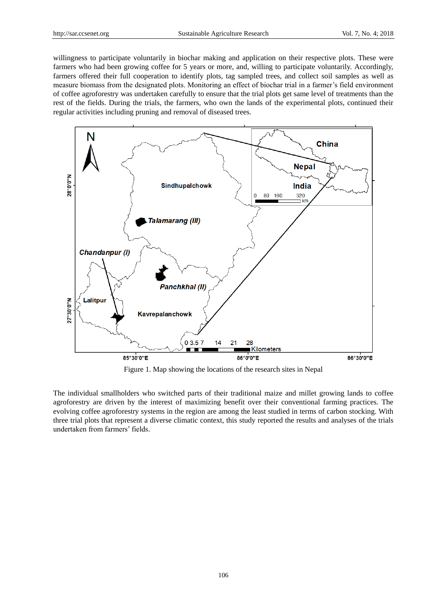willingness to participate voluntarily in biochar making and application on their respective plots. These were farmers who had been growing coffee for 5 years or more, and, willing to participate voluntarily. Accordingly, farmers offered their full cooperation to identify plots, tag sampled trees, and collect soil samples as well as measure biomass from the designated plots. Monitoring an effect of biochar trial in a farmer"s field environment of coffee agroforestry was undertaken carefully to ensure that the trial plots get same level of treatments than the rest of the fields. During the trials, the farmers, who own the lands of the experimental plots, continued their regular activities including pruning and removal of diseased trees.



Figure 1. Map showing the locations of the research sites in Nepal

The individual smallholders who switched parts of their traditional maize and millet growing lands to coffee agroforestry are driven by the interest of maximizing benefit over their conventional farming practices. The evolving coffee agroforestry systems in the region are among the least studied in terms of carbon stocking. With three trial plots that represent a diverse climatic context, this study reported the results and analyses of the trials undertaken from farmers" fields.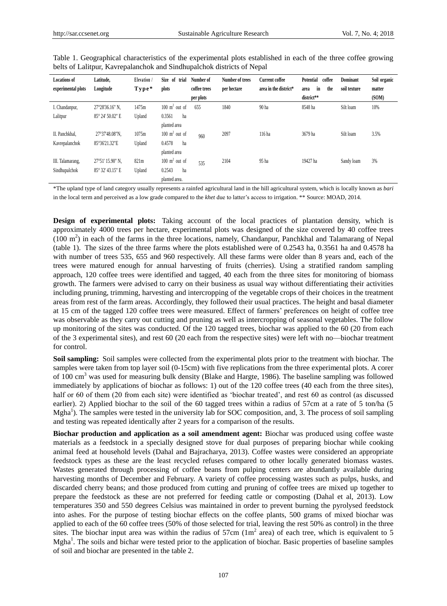| <b>Locations of</b> | Latitude,          | Elevation / | Size<br>of<br>trial      | Number of    | Number of trees | <b>Current coffee</b> | Potential<br>coffee | <b>Dominant</b> | Soil organic |
|---------------------|--------------------|-------------|--------------------------|--------------|-----------------|-----------------------|---------------------|-----------------|--------------|
| experimental plots  | Longitude          | Type*       | plots                    | coffee trees | per hectare     | area in the district* | the<br>in<br>area   | soil texture    | matter       |
|                     |                    |             |                          | per plots    |                 |                       | district**          |                 | (SOM)        |
| I. Chandanpur,      | 27 28'36.16" N,    | 1475m       | $100 \text{ m}^2$ out of | 655          | 1840            | 90 ha                 | 8548 ha             | Silt loam       | 10%          |
| Lalitpur            | 85°24′50.02″ E     | Upland      | 0.3561<br>ha             |              |                 |                       |                     |                 |              |
|                     |                    |             | planted area             |              |                 |                       |                     |                 |              |
| II. Panchkhal.      | 27 ° 37' 48.08" N. | 1075m       | $100 \text{ m}^2$ out of | 960          | 2097            | 116 ha                | 3679 ha             | Silt loam       | 3.5%         |
| Kavrepalanchok      | 85 '36'21.32"E     | Upland      | 0.4578<br>ha             |              |                 |                       |                     |                 |              |
|                     |                    |             | planted area             |              |                 |                       |                     |                 |              |
| III. Talamarang,    | 27 ° 51' 15.90" N. | 821m        | $100 \text{ m}^2$ out of | 535          | 2104            | 95 ha                 | 19427 ha            | Sandy loam      | 3%           |
| Sindhupalchok       | 85 ° 32' 43.15" E  | Upland      | 0.2543<br>ha             |              |                 |                       |                     |                 |              |
|                     |                    |             | planted area.            |              |                 |                       |                     |                 |              |

Table 1. Geographical characteristics of the experimental plots established in each of the three coffee growing belts of Lalitpur, Kavrepalanchok and Sindhupalchok districts of Nepal

\*The upland type of land category usually represents a rainfed agricultural land in the hill agricultural system, which is locally known as *bari* in the local term and perceived as a low grade compared to the *khet* due to latter's access to irrigation. \*\* Source: MOAD, 2014.

**Design of experimental plots:** Taking account of the local practices of plantation density, which is approximately 4000 trees per hectare, experimental plots was designed of the size covered by 40 coffee trees  $(100 \text{ m}^2)$  in each of the farms in the three locations, namely, Chandanpur, Panchkhal and Talamarang of Nepal (table 1). The sizes of the three farms where the plots established were of 0.2543 ha, 0.3561 ha and 0.4578 ha with number of trees 535, 655 and 960 respectively. All these farms were older than 8 years and, each of the trees were matured enough for annual harvesting of fruits (cherries). Using a stratified random sampling approach, 120 coffee trees were identified and tagged, 40 each from the three sites for monitoring of biomass growth. The farmers were advised to carry on their business as usual way without differentiating their activities including pruning, trimming, harvesting and intercropping of the vegetable crops of their choices in the treatment areas from rest of the farm areas. Accordingly, they followed their usual practices. The height and basal diameter at 15 cm of the tagged 120 coffee trees were measured. Effect of farmers" preferences on height of coffee tree was observable as they carry out cutting and pruning as well as intercropping of seasonal vegetables. The follow up monitoring of the sites was conducted. Of the 120 tagged trees, biochar was applied to the 60 (20 from each of the 3 experimental sites), and rest 60 (20 each from the respective sites) were left with no—biochar treatment for control.

**Soil sampling:** Soil samples were collected from the experimental plots prior to the treatment with biochar. The samples were taken from top layer soil (0-15cm) with five replications from the three experimental plots. A corer of 100 cm<sup>3</sup> was used for measuring bulk density (Blake and Hargte, 1986). The baseline sampling was followed immediately by applications of biochar as follows: 1) out of the 120 coffee trees (40 each from the three sites), half or 60 of them (20 from each site) were identified as 'biochar treated', and rest 60 as control (as discussed earlier). 2) Applied biochar to the soil of the 60 tagged trees within a radius of 57cm at a rate of 5 ton/ha (5 Mgha<sup>1</sup>). The samples were tested in the university lab for SOC composition, and, 3. The process of soil sampling and testing was repeated identically after 2 years for a comparison of the results.

**Biochar production and application as a soil amendment agent:** Biochar was produced using coffee waste materials as a feedstock in a specially designed stove for dual purposes of preparing biochar while cooking animal feed at household levels (Dahal and Bajracharya, 2013). Coffee wastes were considered an appropriate feedstock types as these are the least recycled refuses compared to other locally generated biomass wastes. Wastes generated through processing of coffee beans from pulping centers are abundantly available during harvesting months of December and February. A variety of coffee processing wastes such as pulps, husks, and discarded cherry beans; and those produced from cutting and pruning of coffee trees are mixed up together to prepare the feedstock as these are not preferred for feeding cattle or composting (Dahal et al, 2013). Low temperatures 350 and 550 degrees Celsius was maintained in order to prevent burning the pyrolysed feedstock into ashes. For the purpose of testing biochar effects on the coffee plants, 500 grams of mixed biochar was applied to each of the 60 coffee trees (50% of those selected for trial, leaving the rest 50% as control) in the three sites. The biochar input area was within the radius of 57cm  $(1m^2 \text{ area})$  of each tree, which is equivalent to 5 Mgha<sup>1</sup>. The soils and bichar were tested prior to the application of biochar. Basic properties of baseline samples of soil and biochar are presented in the table 2.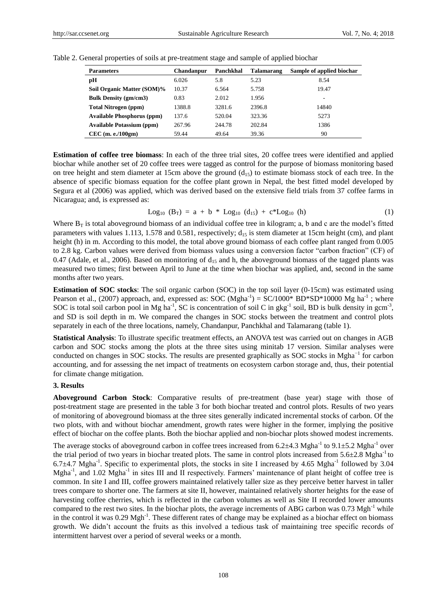| <b>Parameters</b>                 | Chandanpur | Panchkhal | Talamarang | Sample of applied biochar |
|-----------------------------------|------------|-----------|------------|---------------------------|
| рH                                | 6.026      | 5.8       | 5.23       | 8.54                      |
| Soil Organic Matter (SOM)%        | 10.37      | 6.564     | 5.758      | 19.47                     |
| <b>Bulk Density (gm/cm3)</b>      | 0.83       | 2.012     | 1.956      | ۰                         |
| <b>Total Nitrogen</b> (ppm)       | 1388.8     | 3281.6    | 2396.8     | 14840                     |
| <b>Available Phosphorus (ppm)</b> | 137.6      | 520.04    | 323.36     | 5273                      |
| <b>Available Potassium (ppm)</b>  | 267.96     | 244.78    | 202.84     | 1386                      |
| $CEC$ (m. e./100gm)               | 59.44      | 49.64     | 39.36      | 90                        |

Table 2. General properties of soils at pre-treatment stage and sample of applied biochar

**Estimation of coffee tree biomass**: In each of the three trial sites, 20 coffee trees were identified and applied biochar while another set of 20 coffee trees were tagged as control for the purpose of biomass monitoring based on tree height and stem diameter at 15cm above the ground  $(d_{15})$  to estimate biomass stock of each tree. In the absence of specific biomass equation for the coffee plant grown in Nepal, the best fitted model developed by Segura et al (2006) was applied, which was derived based on the extensive field trials from 37 coffee farms in Nicaragua; and, is expressed as:

$$
Log_{10} (B_T) = a + b * Log_{10} (d_{15}) + c * Log_{10} (h)
$$
 (1)

Where  $B_T$  is total aboveground biomass of an individual coffee tree in kilogram; a, b and c are the model's fitted parameters with values 1.113, 1.578 and 0.581, respectively;  $d_{15}$  is stem diameter at 15cm height (cm), and plant height (h) in m. According to this model, the total above ground biomass of each coffee plant ranged from 0.005 to 2.8 kg. Carbon values were derived from biomass values using a conversion factor "carbon fraction" (CF) of 0.47 (Adale, et al., 2006). Based on monitoring of  $d_{15}$  and h, the aboveground biomass of the tagged plants was measured two times; first between April to June at the time when biochar was applied, and, second in the same months after two years.

**Estimation of SOC stocks**: The soil organic carbon (SOC) in the top soil layer (0-15cm) was estimated using Pearson et al., (2007) approach, and, expressed as: SOC (Mgha<sup>-1</sup>) = SC/1000\* BD\*SD\*10000 Mg ha<sup>-1</sup>; where SOC is total soil carbon pool in Mg ha<sup>-1</sup>, SC is concentration of soil C in gkg<sup>-1</sup> soil, BD is bulk density in gcm<sup>-3</sup>, and SD is soil depth in m. We compared the changes in SOC stocks between the treatment and control plots separately in each of the three locations, namely, Chandanpur, Panchkhal and Talamarang (table 1).

**Statistical Analysis**: To illustrate specific treatment effects, an ANOVA test was carried out on changes in AGB carbon and SOC stocks among the plots at the three sites using minitab 17 version. Similar analyses were conducted on changes in SOC stocks. The results are presented graphically as SOC stocks in Mgha<sup>-1</sup> for carbon accounting, and for assessing the net impact of treatments on ecosystem carbon storage and, thus, their potential for climate change mitigation.

#### **3. Results**

**Aboveground Carbon Stock**: Comparative results of pre-treatment (base year) stage with those of post-treatment stage are presented in the table 3 for both biochar treated and control plots. Results of two years of monitoring of aboveground biomass at the three sites generally indicated incremental stocks of carbon. Of the two plots, with and without biochar amendment, growth rates were higher in the former, implying the positive effect of biochar on the coffee plants. Both the biochar applied and non-biochar plots showed modest increments.

The average stocks of aboveground carbon in coffee trees increased from  $6.2 \pm 4.3$  Mgha<sup>-1</sup> to  $9.1 \pm 5.2$  Mgha<sup>-1</sup> over the trial period of two years in biochar treated plots. The same in control plots increased from  $5.6 \pm 2.8$  Mgha<sup>-1</sup> to 6.7 $\pm$ 4.7 Mgha<sup>-1</sup>. Specific to experimental plots, the stocks in site I increased by 4.65 Mgha<sup>-1</sup> followed by 3.04 Mgha<sup>-1</sup>, and 1.02 Mgha<sup>-1</sup> in sites III and II respectively. Farmers' maintenance of plant height of coffee tree is common. In site I and III, coffee growers maintained relatively taller size as they perceive better harvest in taller trees compare to shorter one. The farmers at site II, however, maintained relatively shorter heights for the ease of harvesting coffee cherries, which is reflected in the carbon volumes as well as Site II recorded lower amounts compared to the rest two sites. In the biochar plots, the average increments of ABG carbon was  $0.73 \text{ Mgh}^{-1}$  while in the control it was 0.29 Mgh<sup>-1</sup>. These different rates of change may be explained as a biochar effect on biomass growth. We didn"t account the fruits as this involved a tedious task of maintaining tree specific records of intermittent harvest over a period of several weeks or a month.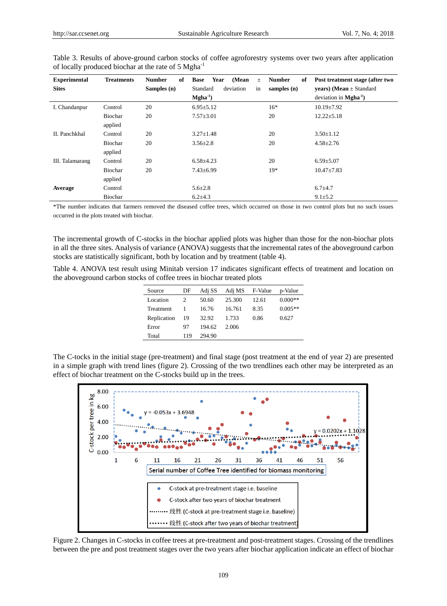| <b>Experimental</b> | <b>Treatments</b> | <b>Number</b><br>of | (Mean<br><b>Base</b><br>Year<br>$\pm$ | <b>Number</b><br>of | Post treatment stage (after two             |
|---------------------|-------------------|---------------------|---------------------------------------|---------------------|---------------------------------------------|
| <b>Sites</b>        |                   | Samples (n)         | in<br>Standard<br>deviation           | samples $(n)$       | <b>years</b> ) ( <b>Mean</b> $\pm$ Standard |
|                     |                   |                     | $\mathbf{Mgha}^{-1}$                  |                     | deviation in $Mgha^{-1}$ )                  |
| I. Chandanpur       | Control           | 20                  | $6.95 \pm 5.12$                       | $16*$               | $10.19 \pm 7.92$                            |
|                     | Biochar           | 20                  | $7.57 + 3.01$                         | 20                  | $12.22 \pm 5.18$                            |
|                     | applied           |                     |                                       |                     |                                             |
| II. Panchkhal       | Control           | 20                  | $3.27 \pm 1.48$                       | 20                  | $3.50 \pm 1.12$                             |
|                     | Biochar           | 20                  | $3.56 \pm 2.8$                        | 20                  | $4.58 \pm 2.76$                             |
|                     | applied           |                     |                                       |                     |                                             |
| III. Talamarang     | Control           | 20                  | $6.58 + 4.23$                         | 20                  | $6.59 + 5.07$                               |
|                     | Biochar           | 20                  | $7.43 \pm 6.99$                       | $19*$               | $10.47 \pm 7.83$                            |
|                     | applied           |                     |                                       |                     |                                             |
| Average             | Control           |                     | $5.6 \pm 2.8$                         |                     | $6.7 + 4.7$                                 |
|                     | Biochar           |                     | $6.2 \pm 4.3$                         |                     | $9.1 \pm 5.2$                               |

Table 3. Results of above-ground carbon stocks of coffee agroforestry systems over two years after application of locally produced biochar at the rate of 5 Mgha-1

\*The number indicates that farmers removed the diseased coffee trees, which occurred on those in two control plots but no such issues occurred in the plots treated with biochar.

The incremental growth of C-stocks in the biochar applied plots was higher than those for the non-biochar plots in all the three sites. Analysis of variance (ANOVA) suggests that the incremental rates of the aboveground carbon stocks are statistically significant, both by location and by treatment (table 4).

Table 4. ANOVA test result using Minitab version 17 indicates significant effects of treatment and location on the aboveground carbon stocks of coffee trees in biochar treated plots

| Source      | DF  | Adj SS | Adj MS F-Value |       | p-Value   |
|-------------|-----|--------|----------------|-------|-----------|
| Location    |     | 50.60  | 25.300         | 12.61 | $0.000**$ |
| Treatment   |     | 16.76  | 16.761         | 8.35  | $0.005**$ |
| Replication | 19  | 32.92  | 1.733          | 0.86  | 0.627     |
| Error       | 97  | 194.62 | 2.006          |       |           |
| Total       | 119 | 294.90 |                |       |           |

The C-tocks in the initial stage (pre-treatment) and final stage (post treatment at the end of year 2) are presented in a simple graph with trend lines (figure 2). Crossing of the two trendlines each other may be interpreted as an effect of biochar treatment on the C-stocks build up in the trees.



Figure 2. Changes in C-stocks in coffee trees at pre-treatment and post-treatment stages. Crossing of the trendlines between the pre and post treatment stages over the two years after biochar application indicate an effect of biochar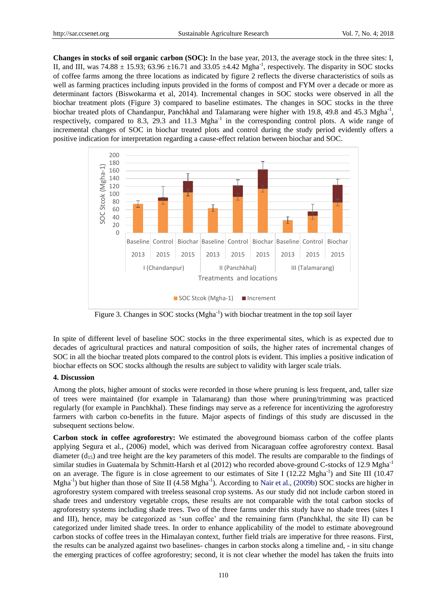**Changes in stocks of soil organic carbon (SOC):** In the base year, 2013, the average stock in the three sites: I, II, and III, was  $74.88 \pm 15.93$ ;  $63.96 \pm 16.71$  and  $33.05 \pm 4.42$  Mgha<sup>-1</sup>, respectively. The disparity in SOC stocks of coffee farms among the three locations as indicated by figure 2 reflects the diverse characteristics of soils as well as farming practices including inputs provided in the forms of compost and FYM over a decade or more as determinant factors (Biswokarma et al, 2014). Incremental changes in SOC stocks were observed in all the biochar treatment plots (Figure 3) compared to baseline estimates. The changes in SOC stocks in the three biochar treated plots of Chandanpur, Panchkhal and Talamarang were higher with 19.8, 49.8 and 45.3 Mgha<sup>-1</sup>, respectively, compared to 8.3, 29.3 and 11.3  $Mgha^{-1}$  in the corresponding control plots. A wide range of incremental changes of SOC in biochar treated plots and control during the study period evidently offers a positive indication for interpretation regarding a cause-effect relation between biochar and SOC.



Figure 3. Changes in SOC stocks (Mgha<sup>-1</sup>) with biochar treatment in the top soil layer

In spite of different level of baseline SOC stocks in the three experimental sites, which is as expected due to decades of agricultural practices and natural composition of soils, the higher rates of incremental changes of SOC in all the biochar treated plots compared to the control plots is evident. This implies a positive indication of biochar effects on SOC stocks although the results are subject to validity with larger scale trials.

## **4. Discussion**

Among the plots, higher amount of stocks were recorded in those where pruning is less frequent, and, taller size of trees were maintained (for example in Talamarang) than those where pruning/trimming was practiced regularly (for example in Panchkhal). These findings may serve as a reference for incentivizing the agroforestry farmers with carbon co-benefits in the future. Major aspects of findings of this study are discussed in the subsequent sections below.

**Carbon stock in coffee agroforestry:** We estimated the aboveground biomass carbon of the coffee plants applying Segura et al., (2006) model, which was derived from Nicaraguan coffee agroforestry context. Basal diameter  $(d_{15})$  and tree height are the key parameters of this model. The results are comparable to the findings of similar studies in Guatemala by Schmitt-Harsh et al (2012) who recorded above-ground C-stocks of 12.9 Mgha<sup>-1</sup> on an average. The figure is in close agreement to our estimates of Site I (12.22 Mgha<sup>-1</sup>) and Site III (10.47 Mgha<sup>-1</sup>) but higher than those of Site II (4.58 Mgha<sup>-1</sup>). According to Nair et al., (2009b) SOC stocks are higher in agroforestry system compared with treeless seasonal crop systems. As our study did not include carbon stored in shade trees and understory vegetable crops, these results are not comparable with the total carbon stocks of agroforestry systems including shade trees. Two of the three farms under this study have no shade trees (sites I and III), hence, may be categorized as "sun coffee" and the remaining farm (Panchkhal, the site II) can be categorized under limited shade trees. In order to enhance applicability of the model to estimate aboveground carbon stocks of coffee trees in the Himalayan context, further field trials are imperative for three reasons. First, the results can be analyzed against two baselines- changes in carbon stocks along a timeline and, - in situ change the emerging practices of coffee agroforestry; second, it is not clear whether the model has taken the fruits into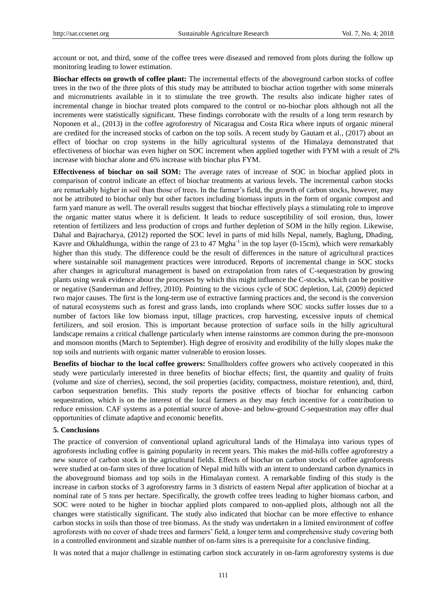account or not, and third, some of the coffee trees were diseased and removed from plots during the follow up monitoring leading to lower estimation.

**Biochar effects on growth of coffee plant:** The incremental effects of the aboveground carbon stocks of coffee trees in the two of the three plots of this study may be attributed to biochar action together with some minerals and micronutrients available in it to stimulate the tree growth. The results also indicate higher rates of incremental change in biochar treated plots compared to the control or no-biochar plots although not all the increments were statistically significant. These findings corroborate with the results of a long term research by Noponen et al., (2013) in the coffee agroforestry of Nicaragua and Costa Rica where inputs of organic mineral are credited for the increased stocks of carbon on the top soils. A recent study by Gautam et al., (2017) about an effect of biochar on crop systems in the hilly agricultural systems of the Himalaya demonstrated that effectiveness of biochar was even higher on SOC increment when applied together with FYM with a result of 2% increase with biochar alone and 6% increase with biochar plus FYM.

**Effectiveness of biochar on soil SOM:** The average rates of increase of SOC in biochar applied plots in comparison of control indicate an effect of biochar treatments at various levels. The incremental carbon stocks are remarkably higher in soil than those of trees. In the farmer"s field, the growth of carbon stocks, however, may not be attributed to biochar only but other factors including biomass inputs in the form of organic compost and farm yard manure as well. The overall results suggest that biochar effectively plays a stimulating role to improve the organic matter status where it is deficient. It leads to reduce susceptibility of soil erosion, thus, lower retention of fertilizers and less production of crops and further depletion of SOM in the hilly region. Likewise, Dahal and Bajracharya, (2012) reported the SOC level in parts of mid hills Nepal, namely, Baglung, Dhading, Kavre and Okhaldhunga, within the range of 23 to 47  $Mgha^{-1}$  in the top layer (0-15cm), which were remarkably higher than this study. The difference could be the result of differences in the nature of agricultural practices where sustainable soil management practices were introduced. Reports of incremental change in SOC stocks after changes in agricultural management is based on extrapolation from rates of C-sequestration by growing plants using weak evidence about the processes by which this might influence the C-stocks, which can be positive or negative (Sanderman and Jeffrey, 2010). Pointing to the vicious cycle of SOC depletion, Lal, (2009) depicted two major causes. The first is the long-term use of extractive farming practices and, the second is the conversion of natural ecosystems such as forest and grass lands, into croplands where SOC stocks suffer losses due to a number of factors like low biomass input, tillage practices, crop harvesting, excessive inputs of chemical fertilizers, and soil erosion. This is important because protection of surface soils in the hilly agricultural landscape remains a critical challenge particularly when intense rainstorms are common during the pre-monsoon and monsoon months (March to September). High degree of erosivity and erodibility of the hilly slopes make the top soils and nutrients with organic matter vulnerable to erosion losses.

**Benefits of biochar to the local coffee growers:** Smallholders coffee growers who actively cooperated in this study were particularly interested in three benefits of biochar effects; first, the quantity and quality of fruits (volume and size of cherries), second, the soil properties (acidity, compactness, moisture retention), and, third, carbon sequestration benefits. This study reports the positive effects of biochar for enhancing carbon sequestration, which is on the interest of the local farmers as they may fetch incentive for a contribution to reduce emission. CAF systems as a potential source of above- and below-ground C-sequestration may offer dual opportunities of climate adaptive and economic benefits.

## **5. Conclusions**

The practice of conversion of conventional upland agricultural lands of the Himalaya into various types of agroforests including coffee is gaining popularity in recent years. This makes the mid-hills coffee agroforestry a new source of carbon stock in the agricultural fields. Effects of biochar on carbon stocks of coffee agroforests were studied at on-farm sites of three location of Nepal mid hills with an intent to understand carbon dynamics in the aboveground biomass and top soils in the Himalayan context. A remarkable finding of this study is the increase in carbon stocks of 3 agroforestry farms in 3 districts of eastern Nepal after application of biochar at a nominal rate of 5 tons per hectare. Specifically, the growth coffee trees leading to higher biomass carbon, and SOC were noted to be higher in biochar applied plots compared to non-applied plots, although not all the changes were statistically significant. The study also indicated that biochar can be more effective to enhance carbon stocks in soils than those of tree biomass. As the study was undertaken in a limited environment of coffee agroforests with no cover of shade trees and farmers" field, a longer term and comprehensive study covering both in a controlled environment and sizable number of on-farm sites is a prerequisite for a conclusive finding.

It was noted that a major challenge in estimating carbon stock accurately in on-farm agroforestry systems is due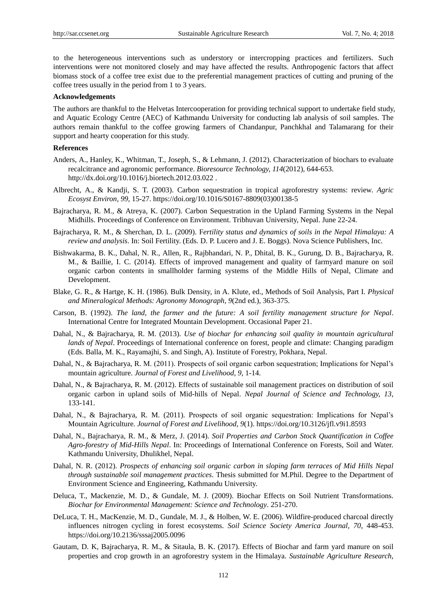to the heterogeneous interventions such as understory or intercropping practices and fertilizers. Such interventions were not monitored closely and may have affected the results. Anthropogenic factors that affect biomass stock of a coffee tree exist due to the preferential management practices of cutting and pruning of the coffee trees usually in the period from 1 to 3 years.

#### **Acknowledgements**

The authors are thankful to the Helvetas Intercooperation for providing technical support to undertake field study, and Aquatic Ecology Centre (AEC) of Kathmandu University for conducting lab analysis of soil samples. The authors remain thankful to the coffee growing farmers of Chandanpur, Panchkhal and Talamarang for their support and hearty cooperation for this study.

#### **References**

- Anders, A., Hanley, K., Whitman, T., Joseph, S., & Lehmann, J. (2012). Characterization of biochars to evaluate recalcitrance and agronomic performance. *Bioresource Technology, 114*(2012), 644-653. http://dx.doi.org/10.1016/j.biortech.2012.03.022 .
- Albrecht, A., & Kandji, S. T. (2003). Carbon sequestration in tropical agroforestry systems: review. *Agric Ecosyst Environ, 99*, 15-27. https://doi.org/10.1016/S0167-8809(03)00138-5
- Bajracharya, R. M., & Atreya, K. (2007). Carbon Sequestration in the Upland Farming Systems in the Nepal Midhills. Proceedings of Conference on Environment. Tribhuvan University, Nepal. June 22-24.
- Bajracharya, R. M., & Sherchan, D. L. (2009). F*ertility status and dynamics of soils in the Nepal Himalaya: A review and analysis*. In: Soil Fertility. (Eds. D. P. Lucero and J. E. Boggs). Nova Science Publishers, Inc.
- Bishwakarma, B. K., Dahal, N. R., Allen, R., Rajbhandari, N. P., Dhital, B. K., Gurung, D. B., Bajracharya, R. M., & Baillie, I. C. (2014). Effects of improved management and quality of farmyard manure on soil organic carbon contents in smallholder farming systems of the Middle Hills of Nepal, Climate and Development.
- Blake, G. R., & Hartge, K. H. (1986). Bulk Density, in A. Klute, ed., Methods of Soil Analysis, Part I. *Physical and Mineralogical Methods: Agronomy Monograph, 9*(2nd ed.), 363-375.
- Carson, B. (1992). *The land, the farmer and the future: A soil fertility management structure for Nepal*. International Centre for Integrated Mountain Development. Occasional Paper 21.
- Dahal, N., & Bajracharya, R. M. (2013). *Use of biochar for enhancing soil quality in mountain agricultural lands of Nepal.* Proceedings of International conference on forest, people and climate: Changing paradigm (Eds. Balla, M. K., Rayamajhi, S. and Singh, A). Institute of Forestry, Pokhara, Nepal.
- Dahal, N., & Bajracharya, R. M. (2011). Prospects of soil organic carbon sequestration; Implications for Nepal"s mountain agriculture. *Journal of Forest and Livelihood, 9*, 1-14.
- Dahal, N., & Bajracharya, R. M. (2012). Effects of sustainable soil management practices on distribution of soil organic carbon in upland soils of Mid-hills of Nepal. *Nepal Journal of Science and Technology, 13*, 133-141.
- Dahal, N., & Bajracharya, R. M. (2011). Prospects of soil organic sequestration: Implications for Nepal's Mountain Agriculture. *Journal of Forest and Livelihood, 9*(1). https://doi.org/10.3126/jfl.v9i1.8593
- Dahal, N., Bajracharya, R. M., & Merz, J. (2014). *Soil Properties and Carbon Stock Quantification in Coffee Agro-forestry of Mid-Hills Nepal*. In: Proceedings of International Conference on Forests, Soil and Water. Kathmandu University, Dhulikhel, Nepal.
- Dahal, N. R. (2012). *Prospects of enhancing soil organic carbon in sloping farm terraces of Mid Hills Nepal through sustainable soil management practices*. Thesis submitted for M.Phil. Degree to the Department of Environment Science and Engineering, Kathmandu University.
- Deluca, T., Mackenzie, M. D., & Gundale, M. J. (2009). Biochar Effects on Soil Nutrient Transformations. *Biochar for Environmental Management: Science and Technology*. 251-270.
- DeLuca, T. H., MacKenzie, M. D., Gundale, M. J., & Holben, W. E. (2006). Wildfire-produced charcoal directly influences nitrogen cycling in forest ecosystems. *Soil Science Society America Journal, 70*, 448-453. https://doi.org/10.2136/sssaj2005.0096
- Gautam, D. K, Bajracharya, R. M., & Sitaula, B. K. (2017). Effects of Biochar and farm yard manure on soil properties and crop growth in an agroforestry system in the Himalaya. *Sustainable Agriculture Research,*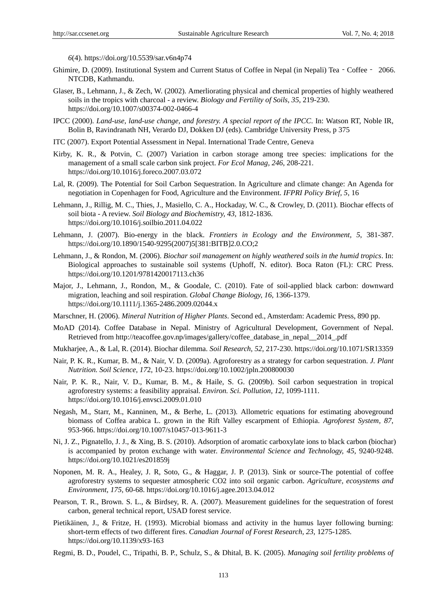*6*(4). https://doi.org/10.5539/sar.v6n4p74

- Ghimire, D. (2009). Institutional System and Current Status of Coffee in Nepal (in Nepali) Tea Coffee 2066. NTCDB, Kathmandu.
- Glaser, B., Lehmann, J., & Zech, W. (2002). Amerliorating physical and chemical properties of highly weathered soils in the tropics with charcoal - a review. *Biology and Fertility of Soils, 35*, 219-230. https://doi.org/10.1007/s00374-002-0466-4
- IPCC (2000). *Land-use, land-use change, and forestry. A special report of the IPCC*. In: Watson RT, Noble IR, Bolin B, Ravindranath NH, Verardo DJ, Dokken DJ (eds). Cambridge University Press, p 375
- ITC (2007). Export Potential Assessment in Nepal. International Trade Centre, Geneva
- Kirby, K. R., & Potvin, C. (2007) Variation in carbon storage among tree species: implications for the management of a small scale carbon sink project. *For Ecol Manag, 246*, 208-221. https://doi.org/10.1016/j.foreco.2007.03.072
- Lal, R. (2009). The Potential for Soil Carbon Sequestration. In Agriculture and climate change: An Agenda for negotiation in Copenhagen for Food, Agriculture and the Environment. *IFPRI Policy Brief, 5*, 16
- Lehmann, J., Rillig, M. C., Thies, J., Masiello, C. A., Hockaday, W. C., & Crowley, D. (2011). Biochar effects of soil biota - A review. *Soil Biology and Biochemistry, 43*, 1812-1836. https://doi.org/10.1016/j.soilbio.2011.04.022
- Lehmann, J. (2007). Bio-energy in the black. *Frontiers in Ecology and the Environment, 5*, 381-387. https://doi.org/10.1890/1540-9295(2007)5[381:BITB]2.0.CO;2
- Lehmann, J., & Rondon, M. (2006). *Biochar soil management on highly weathered soils in the humid tropics*. In: Biological approaches to sustainable soil systems (Uphoff, N. editor). Boca Raton (FL): CRC Press. https://doi.org/10.1201/9781420017113.ch36
- Major, J., Lehmann, J., Rondon, M., & Goodale, C. (2010). Fate of soil-applied black carbon: downward migration, leaching and soil respiration. *Global Change Biology, 16*, 1366-1379. https://doi.org/10.1111/j.1365-2486.2009.02044.x
- Marschner, H. (2006). *Mineral Nutrition of Higher Plants*. Second ed., Amsterdam: Academic Press, 890 pp.
- MoAD (2014). Coffee Database in Nepal. Ministry of Agricultural Development, Government of Nepal. Retrieved from [http://teacoffee.gov.np/images/gallery/coffee\\_database\\_in\\_nepal\\_\\_2014\\_.pdf](http://teacoffee.gov.np/images/gallery/coffee_database_in_nepal__2014_.pdf)
- Mukharjee, A., & Lal, R. (2014). Biochar dilemma. *Soil Research, 52*, 217-230. https://doi.org/10.1071/SR13359
- Nair, P. K. R., Kumar, B. M., & Nair, V. D. (2009a). Agroforestry as a strategy for carbon sequestration. *J. Plant Nutrition. Soil Science, 17*2, 10-23. https://doi.org/10.1002/jpln.200800030
- Nair, P. K. R., Nair, V. D., Kumar, B. M., & Haile, S. G. (2009b). Soil carbon sequestration in tropical agroforestry systems: a feasibility appraisal. *Environ. Sci. Pollution, 12*, 1099-1111. https://doi.org/10.1016/j.envsci.2009.01.010
- Negash, M., Starr, M., Kanninen, M., & Berhe, L. (2013). Allometric equations for estimating aboveground biomass of Coffea arabica L. grown in the Rift Valley escarpment of Ethiopia. *Agroforest System, 87*, 953-966. https://doi.org/10.1007/s10457-013-9611-3
- Ni, J. Z., Pignatello, J. J., & Xing, B. S. (2010). Adsorption of aromatic carboxylate ions to black carbon (biochar) is accompanied by proton exchange with water. *Environmental Science and Technology, 45*, 9240-9248. https://doi.org/10.1021/es201859j
- Noponen, M. R. A., Healey, J. R, Soto, G., & Haggar, J. P. (2013). Sink or source-The potential of coffee agroforestry systems to sequester atmospheric CO2 into soil organic carbon. *Agriculture, ecosystems and Environment, 175*, 60-68. https://doi.org/10.1016/j.agee.2013.04.012
- Pearson, T. R., Brown. S. L., & Birdsey, R. A. (2007). Measurement guidelines for the sequestration of forest carbon, general technical report, USAD forest service.
- Pietikäinen, J., & Fritze, H. (1993). Microbial biomass and activity in the humus layer following burning: short-term effects of two different fires. *Canadian Journal of Forest Research, 23*, 1275-1285. https://doi.org/10.1139/x93-163
- Regmi, B. D., Poudel, C., Tripathi, B. P., Schulz, S., & Dhital, B. K. (2005). *Managing soil fertility problems of*